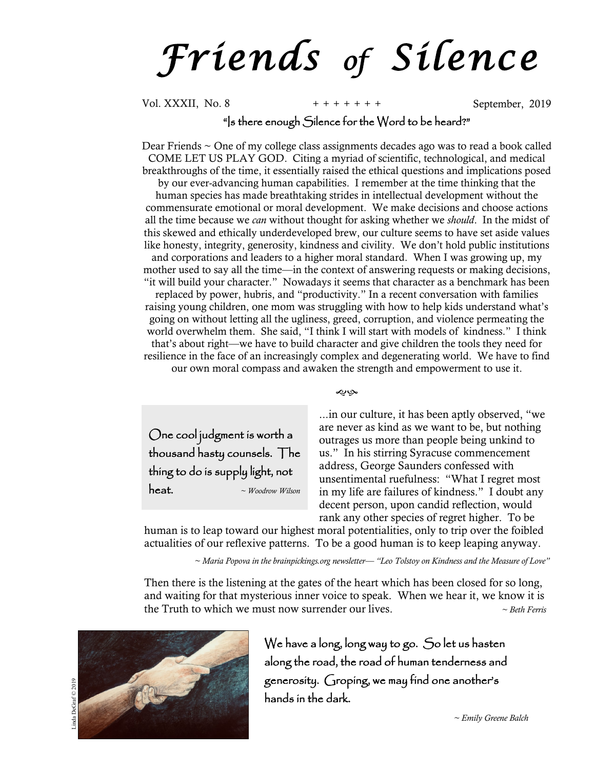*F r i e n d s of S i l e n c e*

Vol. XXXII, No. 8 **+ + + + + + +** September, 2019

## "Is there enough Silence for the Word to be heard?"

Dear Friends  $\sim$  One of my college class assignments decades ago was to read a book called COME LET US PLAY GOD. Citing a myriad of scientific, technological, and medical breakthroughs of the time, it essentially raised the ethical questions and implications posed by our ever-advancing human capabilities. I remember at the time thinking that the human species has made breathtaking strides in intellectual development without the commensurate emotional or moral development. We make decisions and choose actions all the time because we *can* without thought for asking whether we *should*. In the midst of this skewed and ethically underdeveloped brew, our culture seems to have set aside values like honesty, integrity, generosity, kindness and civility. We don't hold public institutions and corporations and leaders to a higher moral standard. When I was growing up, my mother used to say all the time—in the context of answering requests or making decisions, "it will build your character." Nowadays it seems that character as a benchmark has been replaced by power, hubris, and "productivity." In a recent conversation with families raising young children, one mom was struggling with how to help kids understand what's going on without letting all the ugliness, greed, corruption, and violence permeating the world overwhelm them. She said, "I think I will start with models of kindness." I think that's about right—we have to build character and give children the tools they need for resilience in the face of an increasingly complex and degenerating world. We have to find our own moral compass and awaken the strength and empowerment to use it.

One cool judgment is worth a thousand hasty counsels. The thing to do is supply light, not heat. *~ Woodrow Wilson* حباله

...in our culture, it has been aptly observed, "we are never as kind as we want to be, but nothing outrages us more than people being unkind to us." In his stirring Syracuse commencement address, George Saunders confessed with unsentimental ruefulness: "What I regret most in my life are failures of kindness." I doubt any decent person, upon candid reflection, would rank any other species of regret higher. To be

human is to leap toward our highest moral potentialities, only to trip over the foibled actualities of our reflexive patterns. To be a good human is to keep leaping anyway.

*~ Maria Popova in the brainpickings.org newsletter— "Leo Tolstoy on Kindness and the Measure of Love"*

Then there is the listening at the gates of the heart which has been closed for so long, and waiting for that mysterious inner voice to speak. When we hear it, we know it is the Truth to which we must now surrender our lives. *~ Beth Ferris*



We have a long, long way to go. So let us hasten along the road, the road of human tenderness and generosity. Groping, we may find one another's hands in the dark.

*~ Emily Greene Balch*